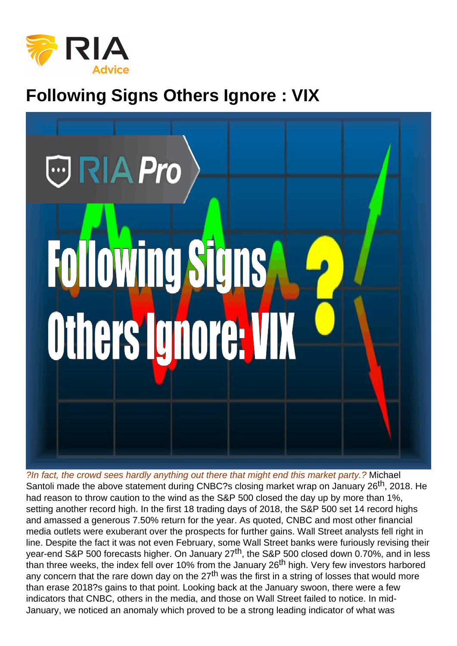# Following Signs Others Ignore : VIX

?In fact, the crowd sees hardly anything out there that might end this market party.? Michael Santoli made the above statement during CNBC?s closing market wrap on January 26<sup>th</sup>, 2018. He had reason to throw caution to the wind as the S&P 500 closed the day up by more than 1%, setting another record high. In the first 18 trading days of 2018, the S&P 500 set 14 record highs and amassed a generous 7.50% return for the year. As quoted, CNBC and most other financial media outlets were exuberant over the prospects for further gains. Wall Street analysts fell right in line. Despite the fact it was not even February, some Wall Street banks were furiously revising their year-end S&P 500 forecasts higher. On January 27<sup>th</sup>, the S&P 500 closed down 0.70%, and in less than three weeks, the index fell over 10% from the January 26<sup>th</sup> high. Very few investors harbored any concern that the rare down day on the  $27<sup>th</sup>$  was the first in a string of losses that would more than erase 2018?s gains to that point. Looking back at the January swoon, there were a few indicators that CNBC, others in the media, and those on Wall Street failed to notice. In mid-January, we noticed an anomaly which proved to be a strong leading indicator of what was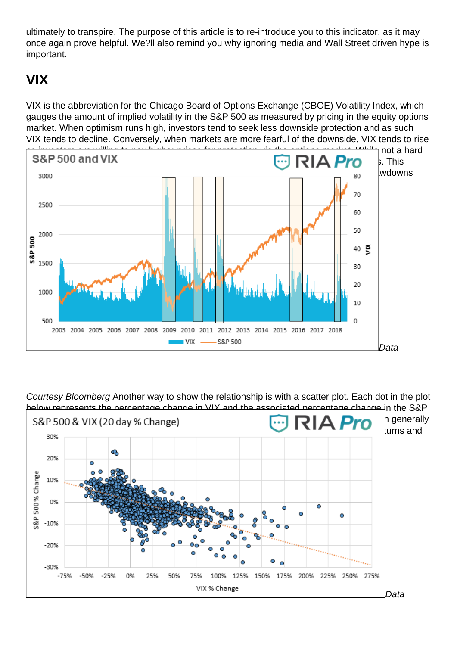ultimately to transpire. The purpose of this article is to re-introduce you to this indicator, as it may once again prove helpful. We?ll also remind you why ignoring media and Wall Street driven hype is important.

## VIX

VIX is the abbreviation for the Chicago Board of Options Exchange (CBOE) Volatility Index, which gauges the amount of implied volatility in the S&P 500 as measured by pricing in the equity options market. When optimism runs high, investors tend to seek less downside protection and as such VIX tends to decline. Conversely, when markets are more fearful of the downside, VIX tends to rise as investors are willing to pay higher prices for protection via the options market. While not a hard [and fast rule, VIX tends to be elevated in down markets and subdued in bullish markets](https://realinvestmentadvice.com/wp-content/uploads/2018/09/1-sp-and-vix.png). This historical relationship is shown below. The beige rectangles highlight recent market drawdowns and the accompanying VIX spikes.

Data

Courtesy Bloomberg Another way to show the relationship is with a scatter plot. Each dot in the plot below represents the percentage change in VIX and the associated percentage change in the S&P [500 for the prior 20 days. The data goes back to 2003. While there are outliers, the graph](https://realinvestmentadvice.com/wp-content/uploads/2018/09/2-scatter.png) generally illustrates an inverse relationship, whereby a higher VIX is associated with lower S&P returns and vice versa.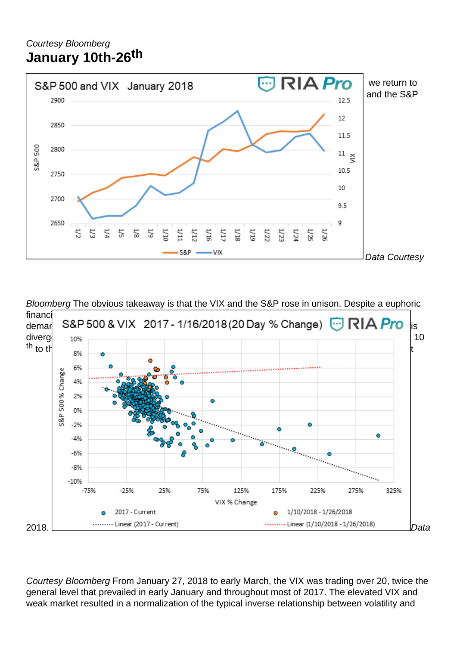#### Courtesy Bloomberg January 10th-26 th

[With an understanding of volatility and its general relationship with market direction,](https://realinvestmentadvice.com/wp-content/uploads/2018/09/3-jan.png) we return to the 12 trading days leading up January 27th. The graph below charts the VIX index and the S&P 500 from January 1st to the 26<sup>th</sup>.

Data Courtesy

Bloomberg The obvious takeaway is that the VIX and the S&P rose in unison. Despite a euphoric financial media, daily record highs and a strong upward trend, investors were increasingly dema[nding insurance in the options markets. The scatter plot and its trend lines below show th](https://realinvestmentadvice.com/wp-content/uploads/2018/09/4-multi-scatter.png)is divergence from the norm. The orange dots represent the daily VIX and S&P changes from the 10 th to the 26<sup>th</sup> while the blue dots represent every trading day from January 1, 2017, thru August

2018. Data

Courtesy Bloomberg From January 27, 2018 to early March, the VIX was trading over 20, twice the general level that prevailed in early January and throughout most of 2017. The elevated VIX and weak market resulted in a normalization of the typical inverse relationship between volatility and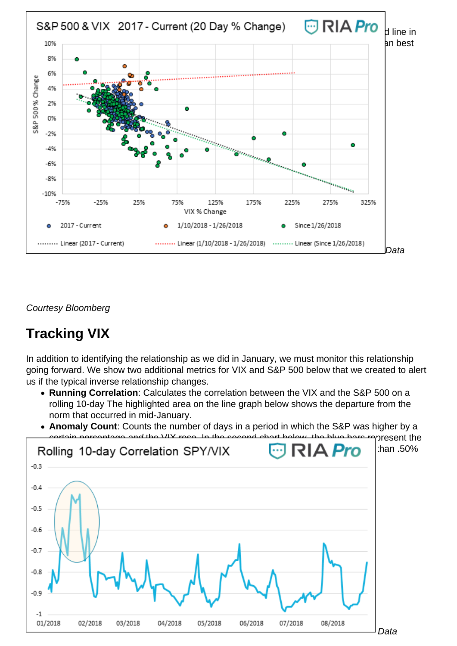[equity performance, and it has stayed normal ever since. The green dots and green trend](https://realinvestmentadvice.com/wp-content/uploads/2018/09/5-3-way-scatter.png) line in the graph below represent data since January 27<sup>th</sup>. The divergence and normalization can best seen by comparing the trend lines of each respective period.

Data

Courtesy Bloomberg

## Tracking VIX

In addition to identifying the relationship as we did in January, we must monitor this relationship going forward. We show two additional metrics for VIX and S&P 500 below that we created to alert us if the typical inverse relationship changes.

- Running Correlation : Calculates the correlation between the VIX and the S&P 500 on a rolling 10-day The highlighted area on the line graph below shows the departure from the norm that occurred in mid-January.
- Anomaly Count: Counts the number of days in a period in which the S&P was higher by a certain percentage and the VIX rose. In the second chart below, the blue bars represent the [number of trading days out of the past 20 days when the S&P 500 rose by more t](https://realinvestmentadvice.com/wp-content/uploads/2018/09/6-rolling-corr.png)han .50% and the VIX was higher.